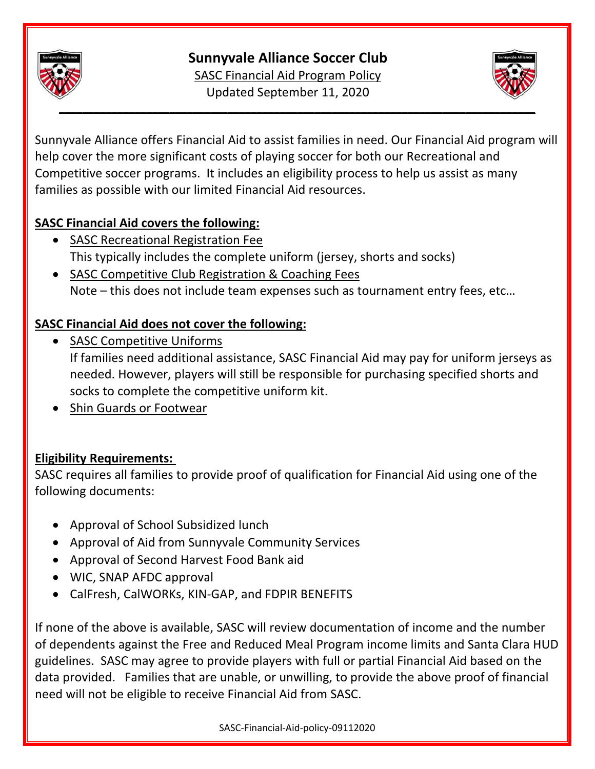

# **Sunnyvale Alliance Soccer Club**

SASC Financial Aid Program Policy Updated September 11, 2020



Sunnyvale Alliance offers Financial Aid to assist families in need. Our Financial Aid program will help cover the more significant costs of playing soccer for both our Recreational and Competitive soccer programs. It includes an eligibility process to help us assist as many families as possible with our limited Financial Aid resources.

#### **SASC Financial Aid covers the following:**

- SASC Recreational Registration Fee This typically includes the complete uniform (jersey, shorts and socks)
- SASC Competitive Club Registration & Coaching Fees Note – this does not include team expenses such as tournament entry fees, etc…

# **SASC Financial Aid does not cover the following:**

• SASC Competitive Uniforms

If families need additional assistance, SASC Financial Aid may pay for uniform jerseys as needed. However, players will still be responsible for purchasing specified shorts and socks to complete the competitive uniform kit.

• Shin Guards or Footwear

# **Eligibility Requirements:**

SASC requires all families to provide proof of qualification for Financial Aid using one of the following documents:

- Approval of School Subsidized lunch
- Approval of Aid from Sunnyvale Community Services
- Approval of Second Harvest Food Bank aid
- WIC, SNAP AFDC approval
- CalFresh, CalWORKs, KIN-GAP, and FDPIR BENEFITS

If none of the above is available, SASC will review documentation of income and the number of dependents against the Free and Reduced Meal Program income limits and Santa Clara HUD guidelines. SASC may agree to provide players with full or partial Financial Aid based on the data provided. Families that are unable, or unwilling, to provide the above proof of financial need will not be eligible to receive Financial Aid from SASC.

SASC‐Financial‐Aid‐policy‐09112020